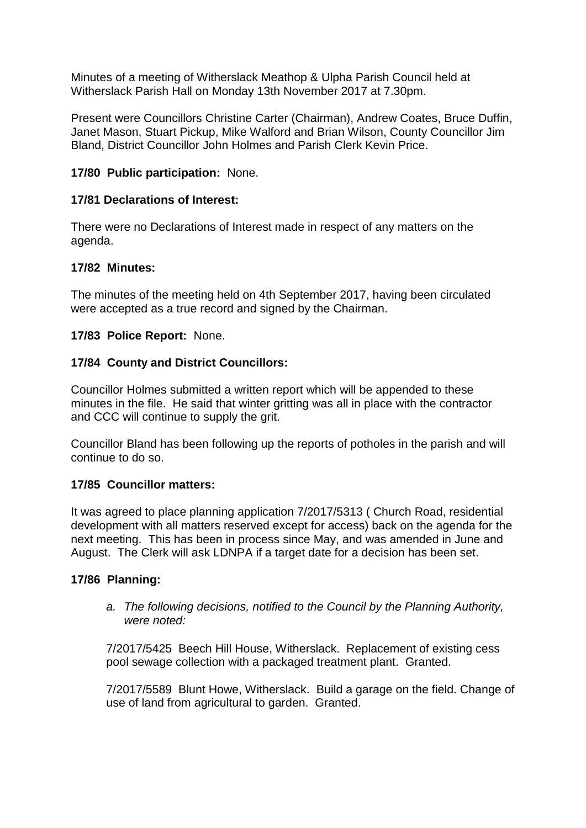Minutes of a meeting of Witherslack Meathop & Ulpha Parish Council held at Witherslack Parish Hall on Monday 13th November 2017 at 7.30pm.

Present were Councillors Christine Carter (Chairman), Andrew Coates, Bruce Duffin, Janet Mason, Stuart Pickup, Mike Walford and Brian Wilson, County Councillor Jim Bland, District Councillor John Holmes and Parish Clerk Kevin Price.

### **17/80 Public participation:** None.

## **17/81 Declarations of Interest:**

There were no Declarations of Interest made in respect of any matters on the agenda.

### **17/82 Minutes:**

The minutes of the meeting held on 4th September 2017, having been circulated were accepted as a true record and signed by the Chairman.

### **17/83 Police Report:** None.

### **17/84 County and District Councillors:**

Councillor Holmes submitted a written report which will be appended to these minutes in the file. He said that winter gritting was all in place with the contractor and CCC will continue to supply the grit.

Councillor Bland has been following up the reports of potholes in the parish and will continue to do so.

#### **17/85 Councillor matters:**

It was agreed to place planning application 7/2017/5313 ( Church Road, residential development with all matters reserved except for access) back on the agenda for the next meeting. This has been in process since May, and was amended in June and August. The Clerk will ask LDNPA if a target date for a decision has been set.

#### **17/86 Planning:**

*a. The following decisions, notified to the Council by the Planning Authority, were noted:*

7/2017/5425 Beech Hill House, Witherslack. Replacement of existing cess pool sewage collection with a packaged treatment plant. Granted.

7/2017/5589 Blunt Howe, Witherslack. Build a garage on the field. Change of use of land from agricultural to garden. Granted.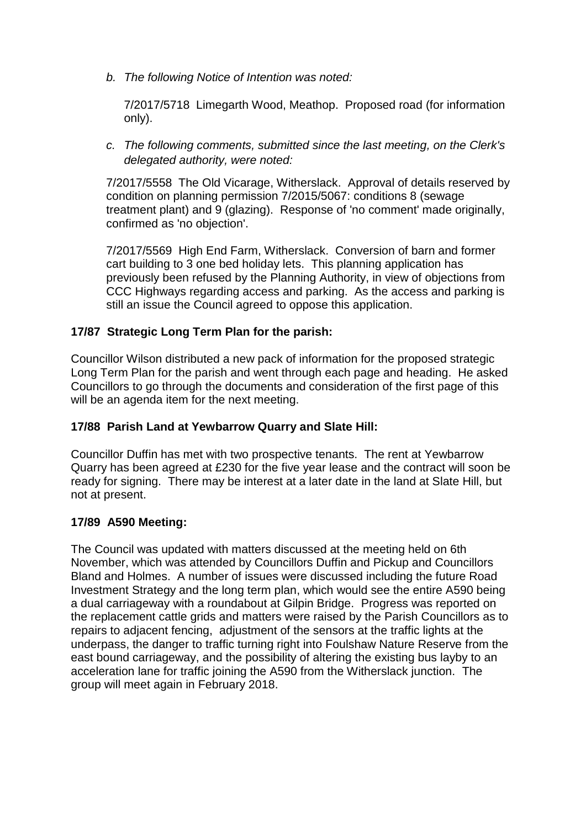*b. The following Notice of Intention was noted:*

7/2017/5718 Limegarth Wood, Meathop. Proposed road (for information only).

*c. The following comments, submitted since the last meeting, on the Clerk's delegated authority, were noted:*

7/2017/5558 The Old Vicarage, Witherslack. Approval of details reserved by condition on planning permission 7/2015/5067: conditions 8 (sewage treatment plant) and 9 (glazing). Response of 'no comment' made originally, confirmed as 'no objection'.

7/2017/5569 High End Farm, Witherslack. Conversion of barn and former cart building to 3 one bed holiday lets. This planning application has previously been refused by the Planning Authority, in view of objections from CCC Highways regarding access and parking. As the access and parking is still an issue the Council agreed to oppose this application.

# **17/87 Strategic Long Term Plan for the parish:**

Councillor Wilson distributed a new pack of information for the proposed strategic Long Term Plan for the parish and went through each page and heading. He asked Councillors to go through the documents and consideration of the first page of this will be an agenda item for the next meeting.

## **17/88 Parish Land at Yewbarrow Quarry and Slate Hill:**

Councillor Duffin has met with two prospective tenants. The rent at Yewbarrow Quarry has been agreed at £230 for the five year lease and the contract will soon be ready for signing. There may be interest at a later date in the land at Slate Hill, but not at present.

# **17/89 A590 Meeting:**

The Council was updated with matters discussed at the meeting held on 6th November, which was attended by Councillors Duffin and Pickup and Councillors Bland and Holmes. A number of issues were discussed including the future Road Investment Strategy and the long term plan, which would see the entire A590 being a dual carriageway with a roundabout at Gilpin Bridge. Progress was reported on the replacement cattle grids and matters were raised by the Parish Councillors as to repairs to adjacent fencing, adjustment of the sensors at the traffic lights at the underpass, the danger to traffic turning right into Foulshaw Nature Reserve from the east bound carriageway, and the possibility of altering the existing bus layby to an acceleration lane for traffic joining the A590 from the Witherslack junction. The group will meet again in February 2018.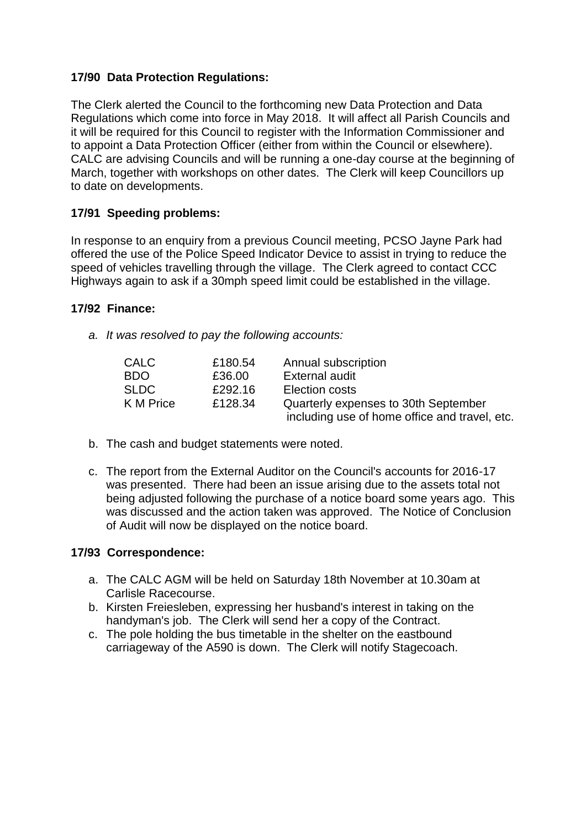# **17/90 Data Protection Regulations:**

The Clerk alerted the Council to the forthcoming new Data Protection and Data Regulations which come into force in May 2018. It will affect all Parish Councils and it will be required for this Council to register with the Information Commissioner and to appoint a Data Protection Officer (either from within the Council or elsewhere). CALC are advising Councils and will be running a one-day course at the beginning of March, together with workshops on other dates. The Clerk will keep Councillors up to date on developments.

# **17/91 Speeding problems:**

In response to an enquiry from a previous Council meeting, PCSO Jayne Park had offered the use of the Police Speed Indicator Device to assist in trying to reduce the speed of vehicles travelling through the village. The Clerk agreed to contact CCC Highways again to ask if a 30mph speed limit could be established in the village.

## **17/92 Finance:**

*a. It was resolved to pay the following accounts:*

| <b>CALC</b> | £180.54 | Annual subscription                           |
|-------------|---------|-----------------------------------------------|
| BDO.        | £36.00  | External audit                                |
| <b>SLDC</b> | £292.16 | Election costs                                |
| K M Price   | £128.34 | Quarterly expenses to 30th September          |
|             |         | including use of home office and travel, etc. |

- b. The cash and budget statements were noted.
- c. The report from the External Auditor on the Council's accounts for 2016-17 was presented. There had been an issue arising due to the assets total not being adjusted following the purchase of a notice board some years ago. This was discussed and the action taken was approved. The Notice of Conclusion of Audit will now be displayed on the notice board.

#### **17/93 Correspondence:**

- a. The CALC AGM will be held on Saturday 18th November at 10.30am at Carlisle Racecourse.
- b. Kirsten Freiesleben, expressing her husband's interest in taking on the handyman's job. The Clerk will send her a copy of the Contract.
- c. The pole holding the bus timetable in the shelter on the eastbound carriageway of the A590 is down. The Clerk will notify Stagecoach.